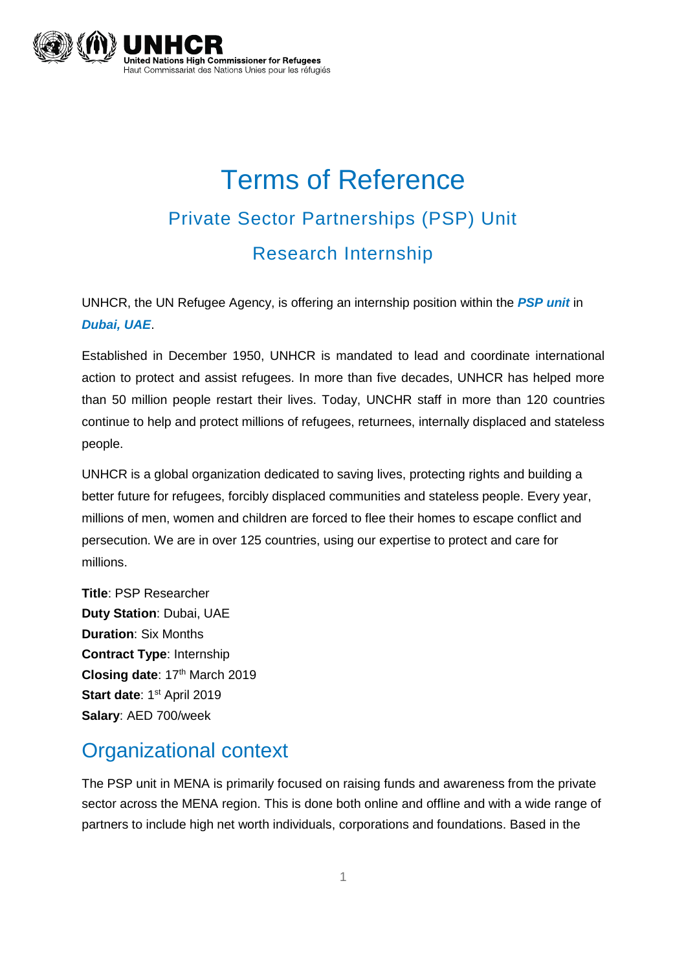

# Terms of Reference Private Sector Partnerships (PSP) Unit Research Internship

UNHCR, the UN Refugee Agency, is offering an internship position within the *PSP unit* in *Dubai, UAE*.

Established in December 1950, UNHCR is mandated to lead and coordinate international action to protect and assist refugees. In more than five decades, UNHCR has helped more than 50 million people restart their lives. Today, UNCHR staff in more than 120 countries continue to help and protect millions of refugees, returnees, internally displaced and stateless people.

UNHCR is a global organization dedicated to saving lives, protecting rights and building a better future for refugees, forcibly displaced communities and stateless people. Every year, millions of men, women and children are forced to flee their homes to escape conflict and persecution. We are in over 125 countries, using our expertise to protect and care for millions.

**Title**: PSP Researcher **Duty Station**: Dubai, UAE **Duration**: Six Months **Contract Type**: Internship **Closing date**: 17th March 2019 **Start date**: 1<sup>st</sup> April 2019 **Salary**: AED 700/week

### Organizational context

The PSP unit in MENA is primarily focused on raising funds and awareness from the private sector across the MENA region. This is done both online and offline and with a wide range of partners to include high net worth individuals, corporations and foundations. Based in the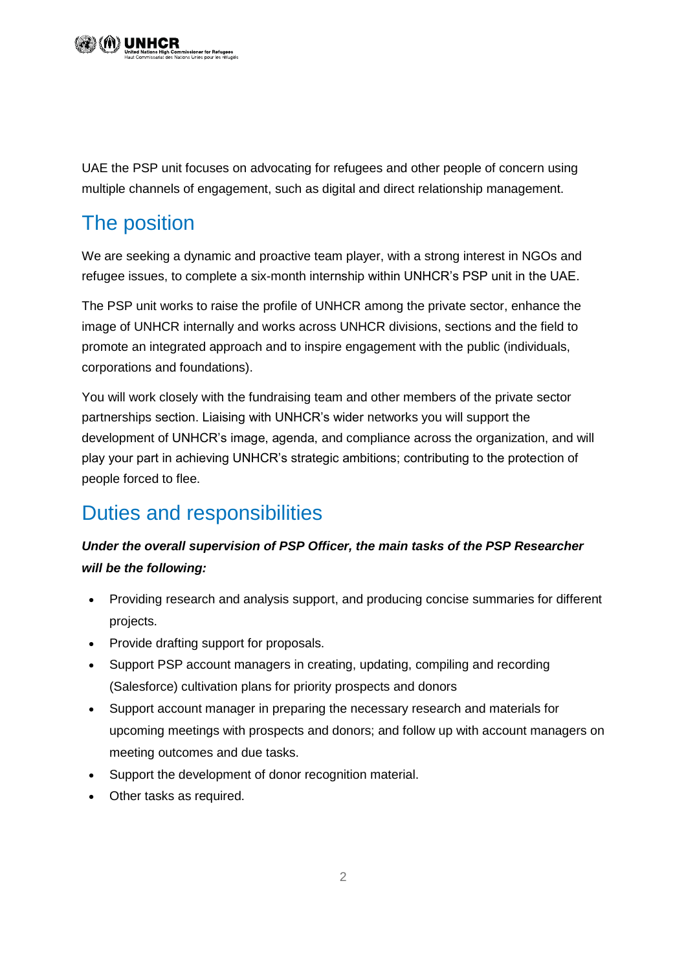UAE the PSP unit focuses on advocating for refugees and other people of concern using multiple channels of engagement, such as digital and direct relationship management.

# The position

We are seeking a dynamic and proactive team player, with a strong interest in NGOs and refugee issues, to complete a six-month internship within UNHCR's PSP unit in the UAE.

The PSP unit works to raise the profile of UNHCR among the private sector, enhance the image of UNHCR internally and works across UNHCR divisions, sections and the field to promote an integrated approach and to inspire engagement with the public (individuals, corporations and foundations).

You will work closely with the fundraising team and other members of the private sector partnerships section. Liaising with UNHCR's wider networks you will support the development of UNHCR's image, agenda, and compliance across the organization, and will play your part in achieving UNHCR's strategic ambitions; contributing to the protection of people forced to flee.

# Duties and responsibilities

#### *Under the overall supervision of PSP Officer, the main tasks of the PSP Researcher will be the following:*

- Providing research and analysis support, and producing concise summaries for different projects.
- Provide drafting support for proposals.
- Support PSP account managers in creating, updating, compiling and recording (Salesforce) cultivation plans for priority prospects and donors
- Support account manager in preparing the necessary research and materials for upcoming meetings with prospects and donors; and follow up with account managers on meeting outcomes and due tasks.
- Support the development of donor recognition material.
- Other tasks as required.